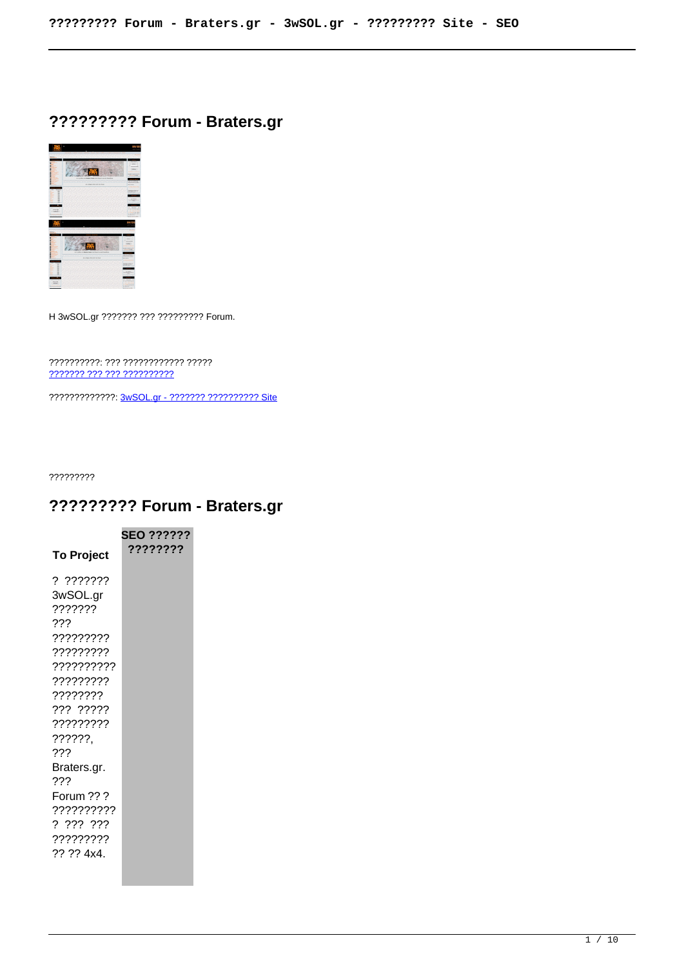## ????????? Forum - Braters.gr



H 3wSOL.gr ??????? ??? ?????????? Forum.

## 

????????????? 3wSOL.gr - ??????? ?????????? Site

?????????

## ????????? Forum - Braters.gr

|                   | SEO ?????? |
|-------------------|------------|
| <b>To Project</b> | ????????   |
| ? ???????         |            |
| 3wSOL.gr          |            |
| ???????           |            |
| 777               |            |
| ?????????         |            |
| 777777777         |            |
| 777777777         |            |
| 777777777         |            |
| ????????          |            |
| ??? ?????         |            |
| ?????????         |            |
| ??????,           |            |
| 777               |            |
| Braters.gr.       |            |
| 777               |            |
| Forum ???         |            |
| 777777777         |            |
| ? ??? ???         |            |
| ?????????         |            |
| 22 22 4x4         |            |
|                   |            |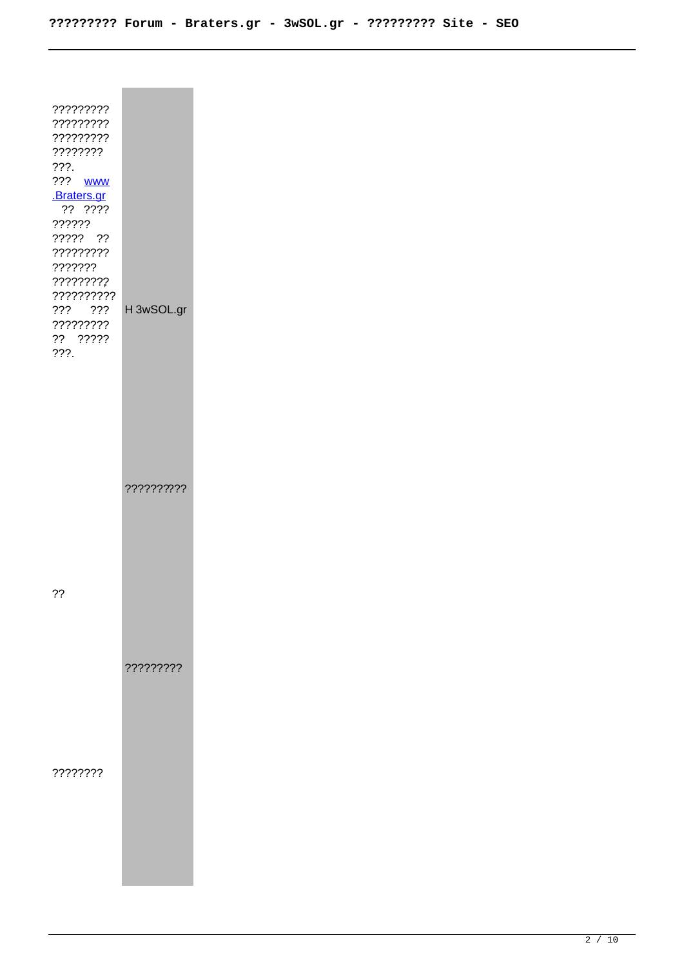| ?????????<br>?????????<br>?????????<br>????????<br>???.<br>??? <u>www</u><br>.Braters.gr<br>?? ????<br>??????<br>????? ??<br>?????????<br>???????<br>?????????<br>??????????<br>???<br>???<br>?????????<br>?? ?????<br>???. | H 3wSOL.gr |  |
|-----------------------------------------------------------------------------------------------------------------------------------------------------------------------------------------------------------------------------|------------|--|
|                                                                                                                                                                                                                             | ?????????? |  |
| $^{2}$                                                                                                                                                                                                                      |            |  |
| ????????                                                                                                                                                                                                                    | ?????????  |  |
|                                                                                                                                                                                                                             |            |  |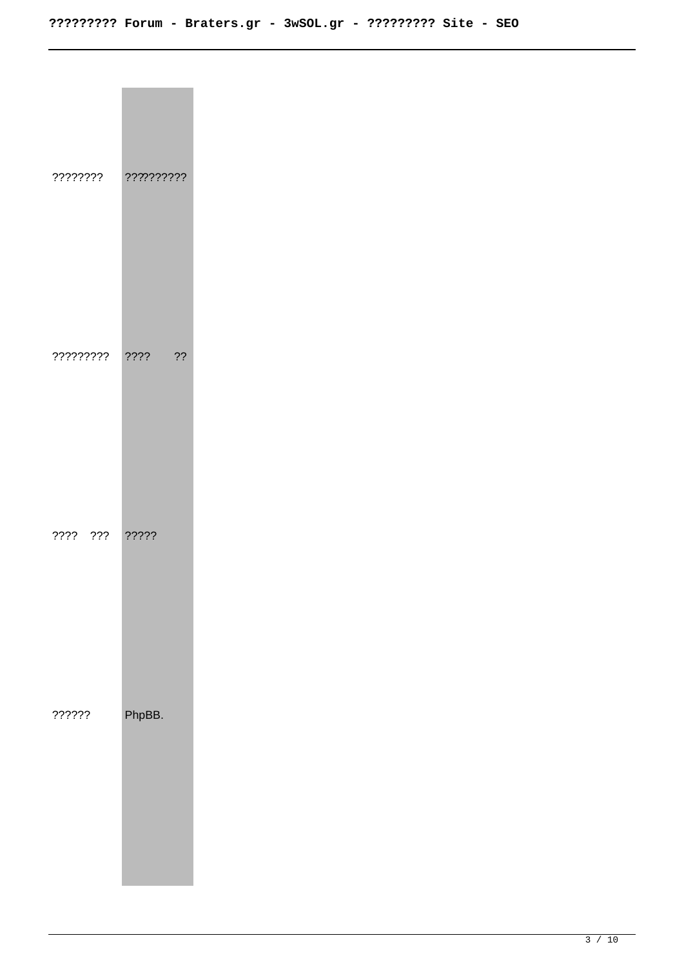| ????????  | ??????????            |
|-----------|-----------------------|
| ????????? | ????<br>$\frac{1}{2}$ |
| ???? ???  | ?????                 |
| ??????    | PhpBB.                |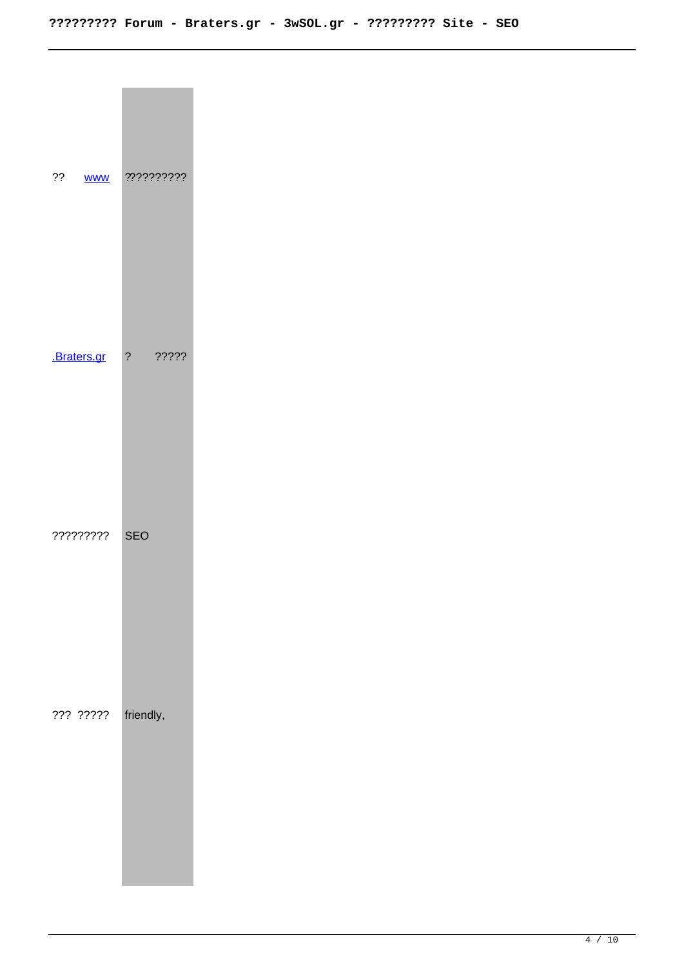| ??<br><b>WWW</b> | ??????????                        |  |  |
|------------------|-----------------------------------|--|--|
| Braters.gr       | $\overline{\mathcal{E}}$<br>77777 |  |  |
| ?????????        | SEO                               |  |  |
| ??? ?????        | friendly,                         |  |  |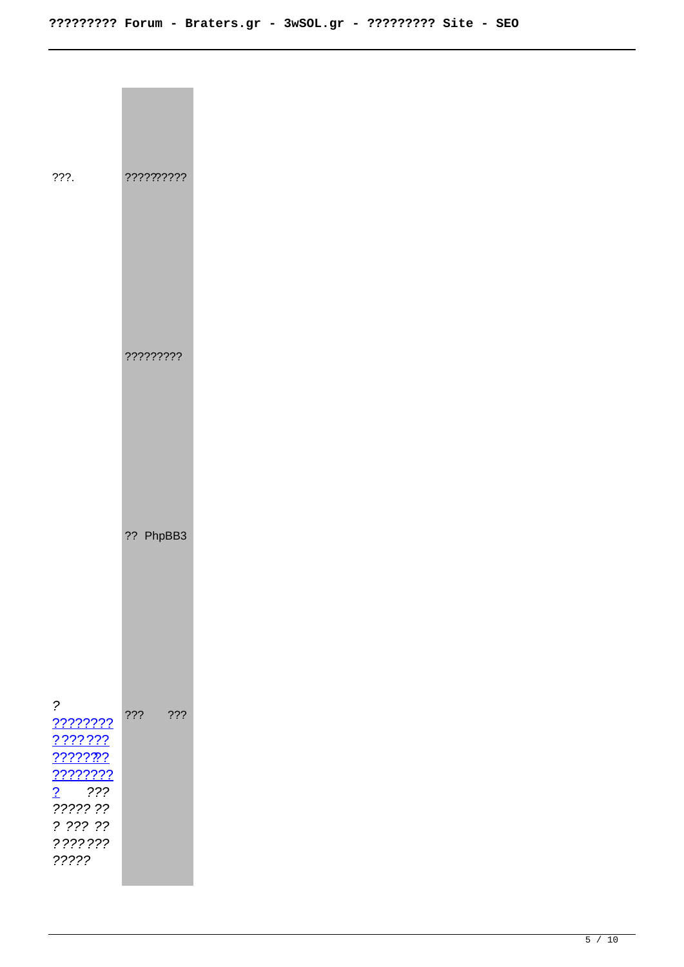| ???.                                                                                           | ?????????  |
|------------------------------------------------------------------------------------------------|------------|
|                                                                                                | ?????????  |
|                                                                                                | ?? PhpBB3  |
| $\tilde{?}$<br><u> ????????</u><br>???????<br><u>????????</u><br>????????<br>$\frac{?}{?}$ ??? | ???<br>??? |
| ????? ??<br>? ? ? ? ? ?<br>???????<br>?????                                                    |            |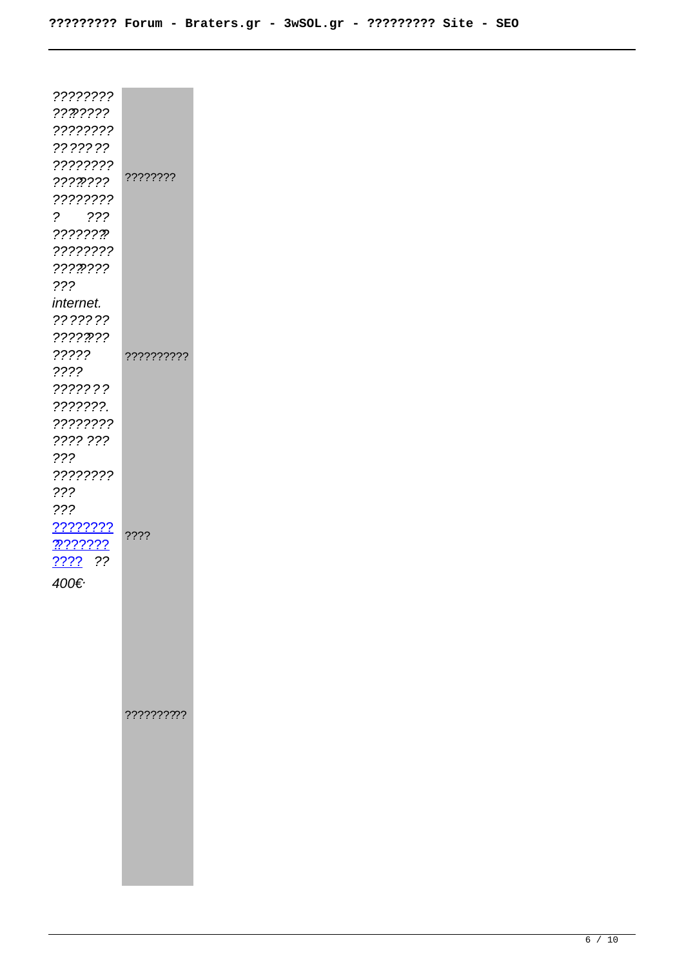| ????????<br>???????<br>????????<br>???????<br>????????<br>???????<br>????????<br>$\overline{\phantom{a}}$<br>???<br>????????<br>????????<br>??????? | ????????   |  |
|-----------------------------------------------------------------------------------------------------------------------------------------------------|------------|--|
| ???<br>internet.<br>???????<br>???????<br>?????<br>????<br>???????<br>???????.<br>????????<br>???? ???<br>???                                       | 7777777777 |  |
| ????????<br>???<br>???<br>????????<br><u>?????????</u><br>??<br>????<br>400€∙                                                                       | ????       |  |
|                                                                                                                                                     | ?????????? |  |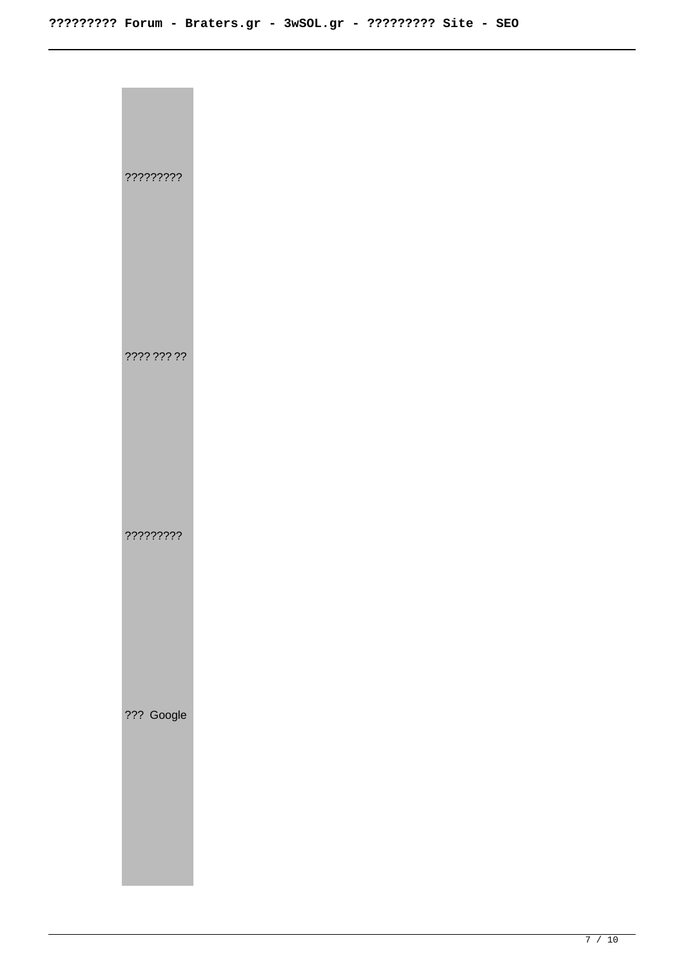| ?????????   |  |  |
|-------------|--|--|
| ???? ??? ?? |  |  |
| ?????????   |  |  |
| ??? Google  |  |  |
|             |  |  |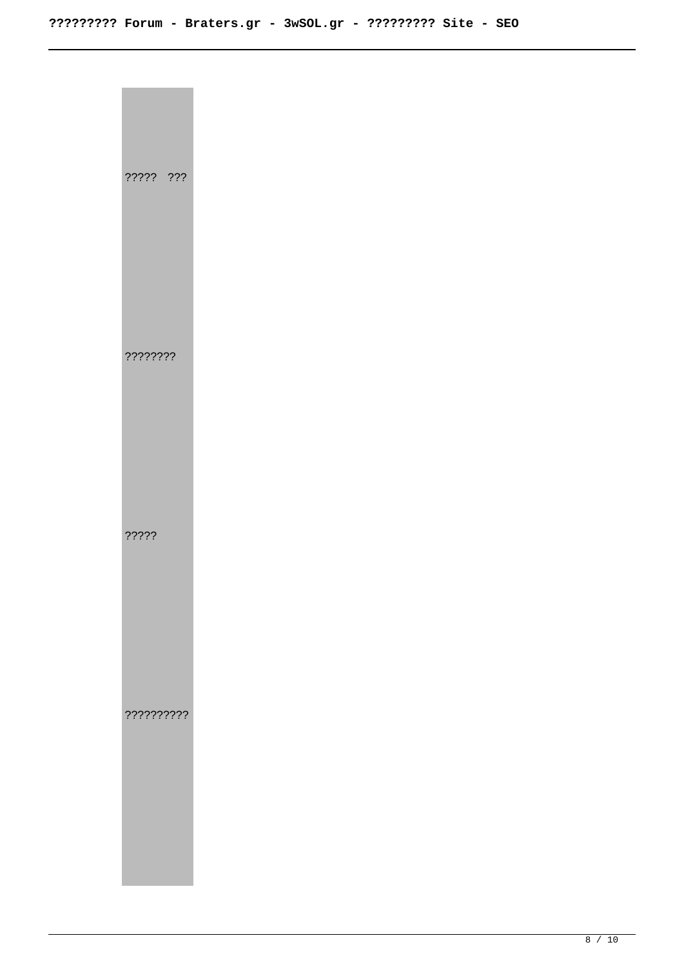| ????? ???  |  |  |  |
|------------|--|--|--|
| ????????   |  |  |  |
| ?????      |  |  |  |
| ?????????? |  |  |  |
|            |  |  |  |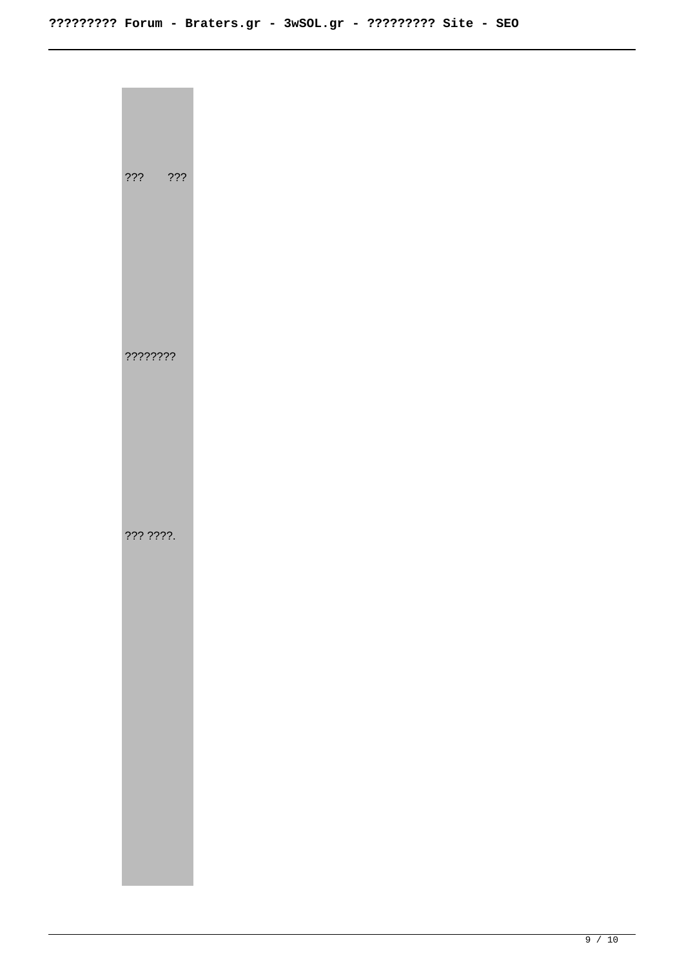??? ??? ???????? ??? ????.